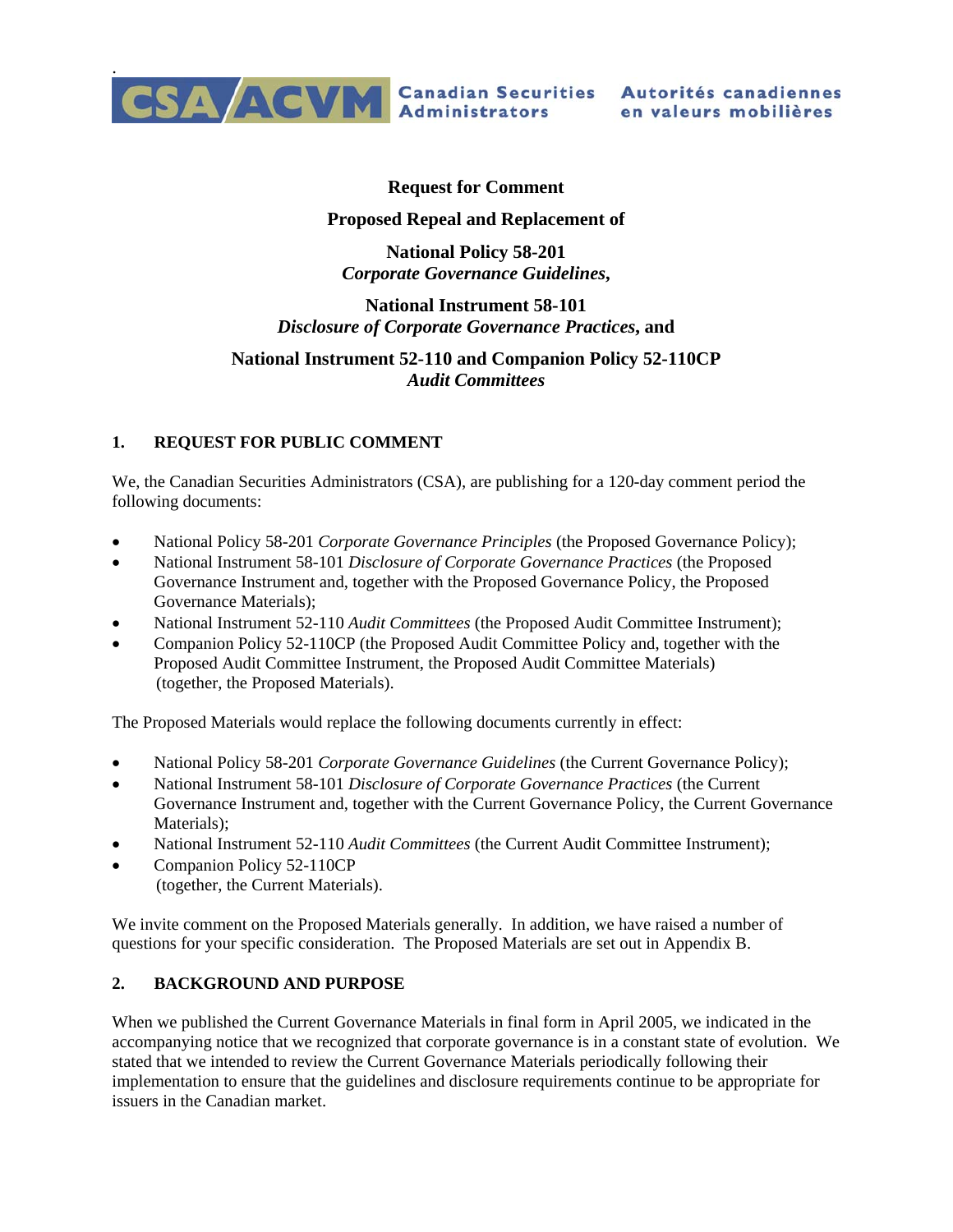

## **Request for Comment**

## **Proposed Repeal and Replacement of**

**National Policy 58-201**  *Corporate Governance Guidelines***,** 

## **National Instrument 58-101**  *Disclosure of Corporate Governance Practices***, and**

## **National Instrument 52-110 and Companion Policy 52-110CP**  *Audit Committees*

## **1. REQUEST FOR PUBLIC COMMENT**

We, the Canadian Securities Administrators (CSA), are publishing for a 120-day comment period the following documents:

- National Policy 58-201 *Corporate Governance Principles* (the Proposed Governance Policy);
- National Instrument 58-101 *Disclosure of Corporate Governance Practices* (the Proposed Governance Instrument and, together with the Proposed Governance Policy, the Proposed Governance Materials);
- National Instrument 52-110 *Audit Committees* (the Proposed Audit Committee Instrument);
- Companion Policy 52-110CP (the Proposed Audit Committee Policy and, together with the Proposed Audit Committee Instrument, the Proposed Audit Committee Materials) (together, the Proposed Materials).

The Proposed Materials would replace the following documents currently in effect:

- National Policy 58-201 *Corporate Governance Guidelines* (the Current Governance Policy);
- National Instrument 58-101 *Disclosure of Corporate Governance Practices* (the Current Governance Instrument and, together with the Current Governance Policy, the Current Governance Materials);
- National Instrument 52-110 *Audit Committees* (the Current Audit Committee Instrument);
- Companion Policy 52-110CP
	- (together, the Current Materials).

We invite comment on the Proposed Materials generally. In addition, we have raised a number of questions for your specific consideration. The Proposed Materials are set out in Appendix B.

## **2. BACKGROUND AND PURPOSE**

When we published the Current Governance Materials in final form in April 2005, we indicated in the accompanying notice that we recognized that corporate governance is in a constant state of evolution. We stated that we intended to review the Current Governance Materials periodically following their implementation to ensure that the guidelines and disclosure requirements continue to be appropriate for issuers in the Canadian market.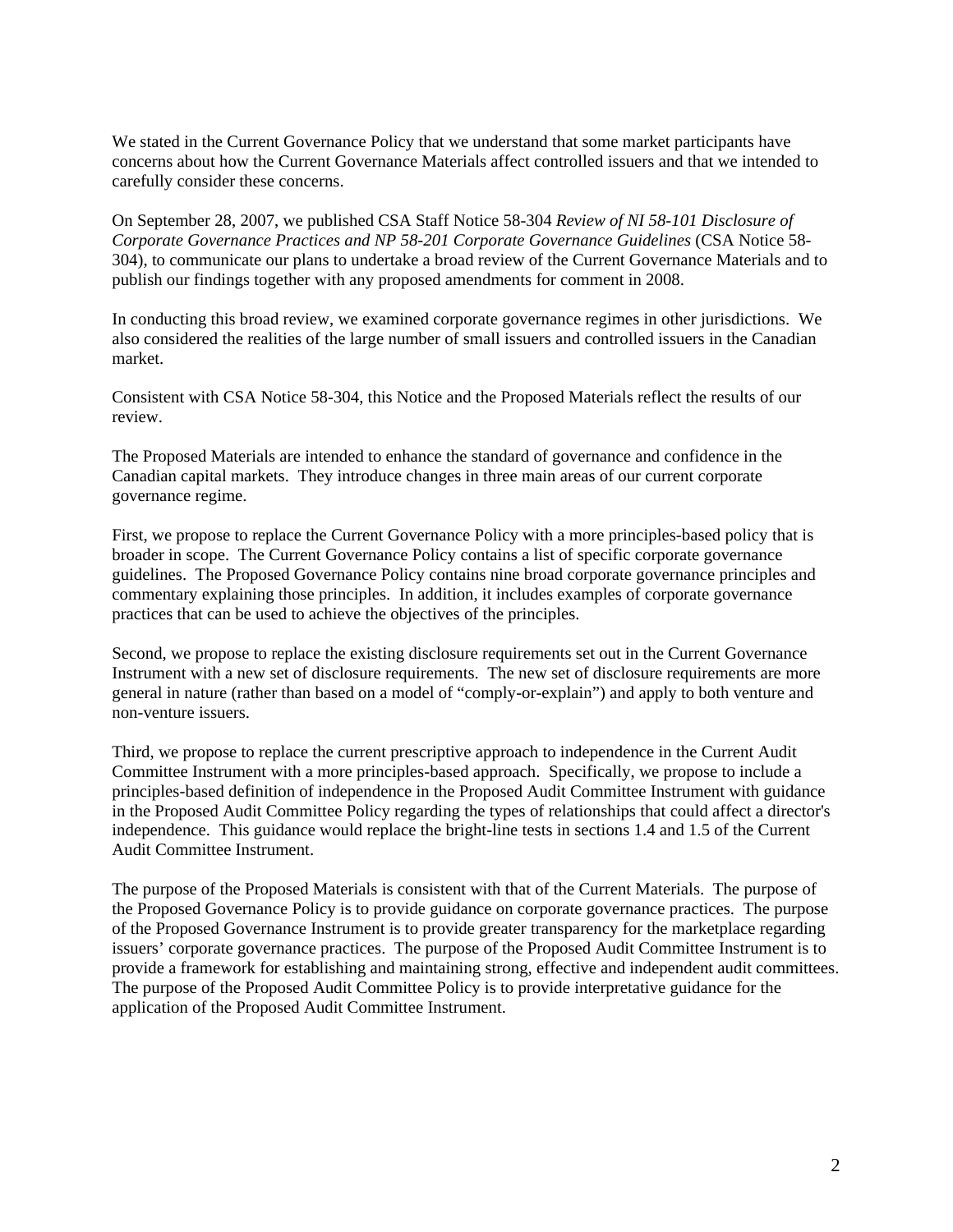We stated in the Current Governance Policy that we understand that some market participants have concerns about how the Current Governance Materials affect controlled issuers and that we intended to carefully consider these concerns.

On September 28, 2007, we published CSA Staff Notice 58-304 *Review of NI 58-101 Disclosure of Corporate Governance Practices and NP 58-201 Corporate Governance Guidelines* (CSA Notice 58- 304), to communicate our plans to undertake a broad review of the Current Governance Materials and to publish our findings together with any proposed amendments for comment in 2008.

In conducting this broad review, we examined corporate governance regimes in other jurisdictions. We also considered the realities of the large number of small issuers and controlled issuers in the Canadian market.

Consistent with CSA Notice 58-304, this Notice and the Proposed Materials reflect the results of our review.

The Proposed Materials are intended to enhance the standard of governance and confidence in the Canadian capital markets. They introduce changes in three main areas of our current corporate governance regime.

First, we propose to replace the Current Governance Policy with a more principles-based policy that is broader in scope. The Current Governance Policy contains a list of specific corporate governance guidelines. The Proposed Governance Policy contains nine broad corporate governance principles and commentary explaining those principles. In addition, it includes examples of corporate governance practices that can be used to achieve the objectives of the principles.

Second, we propose to replace the existing disclosure requirements set out in the Current Governance Instrument with a new set of disclosure requirements. The new set of disclosure requirements are more general in nature (rather than based on a model of "comply-or-explain") and apply to both venture and non-venture issuers.

Third, we propose to replace the current prescriptive approach to independence in the Current Audit Committee Instrument with a more principles-based approach. Specifically, we propose to include a principles-based definition of independence in the Proposed Audit Committee Instrument with guidance in the Proposed Audit Committee Policy regarding the types of relationships that could affect a director's independence. This guidance would replace the bright-line tests in sections 1.4 and 1.5 of the Current Audit Committee Instrument.

The purpose of the Proposed Materials is consistent with that of the Current Materials. The purpose of the Proposed Governance Policy is to provide guidance on corporate governance practices. The purpose of the Proposed Governance Instrument is to provide greater transparency for the marketplace regarding issuers' corporate governance practices. The purpose of the Proposed Audit Committee Instrument is to provide a framework for establishing and maintaining strong, effective and independent audit committees. The purpose of the Proposed Audit Committee Policy is to provide interpretative guidance for the application of the Proposed Audit Committee Instrument.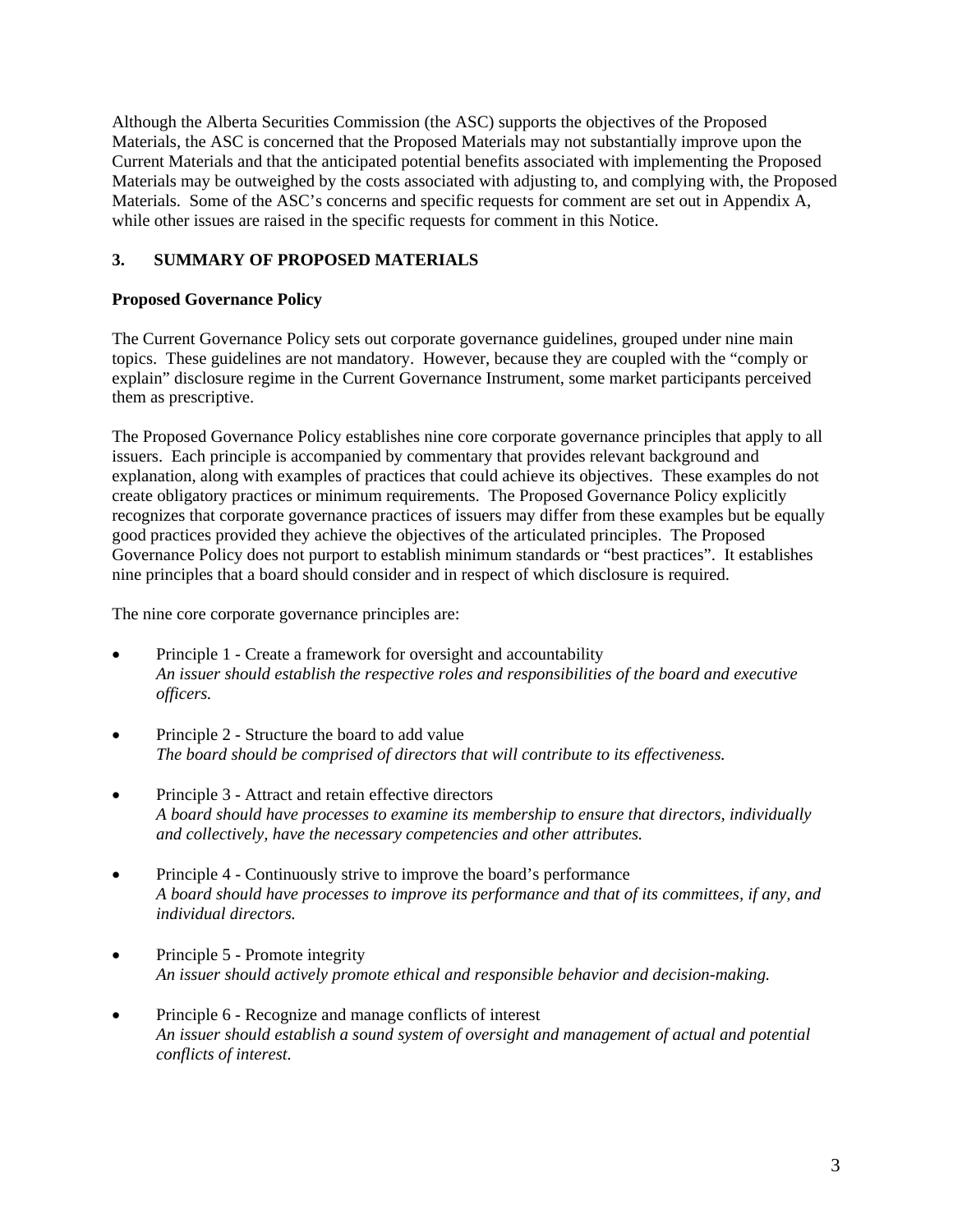Although the Alberta Securities Commission (the ASC) supports the objectives of the Proposed Materials, the ASC is concerned that the Proposed Materials may not substantially improve upon the Current Materials and that the anticipated potential benefits associated with implementing the Proposed Materials may be outweighed by the costs associated with adjusting to, and complying with, the Proposed Materials. Some of the ASC's concerns and specific requests for comment are set out in Appendix A, while other issues are raised in the specific requests for comment in this Notice.

## **3. SUMMARY OF PROPOSED MATERIALS**

## **Proposed Governance Policy**

The Current Governance Policy sets out corporate governance guidelines, grouped under nine main topics. These guidelines are not mandatory. However, because they are coupled with the "comply or explain" disclosure regime in the Current Governance Instrument, some market participants perceived them as prescriptive.

The Proposed Governance Policy establishes nine core corporate governance principles that apply to all issuers. Each principle is accompanied by commentary that provides relevant background and explanation, along with examples of practices that could achieve its objectives. These examples do not create obligatory practices or minimum requirements. The Proposed Governance Policy explicitly recognizes that corporate governance practices of issuers may differ from these examples but be equally good practices provided they achieve the objectives of the articulated principles. The Proposed Governance Policy does not purport to establish minimum standards or "best practices". It establishes nine principles that a board should consider and in respect of which disclosure is required.

The nine core corporate governance principles are:

- Principle 1 Create a framework for oversight and accountability *An issuer should establish the respective roles and responsibilities of the board and executive officers.*
- Principle 2 Structure the board to add value *The board should be comprised of directors that will contribute to its effectiveness.*
- Principle 3 Attract and retain effective directors *A board should have processes to examine its membership to ensure that directors, individually and collectively, have the necessary competencies and other attributes.*
- Principle 4 Continuously strive to improve the board's performance *A board should have processes to improve its performance and that of its committees, if any, and individual directors.*
- Principle 5 Promote integrity *An issuer should actively promote ethical and responsible behavior and decision-making.*
- Principle 6 Recognize and manage conflicts of interest *An issuer should establish a sound system of oversight and management of actual and potential conflicts of interest.*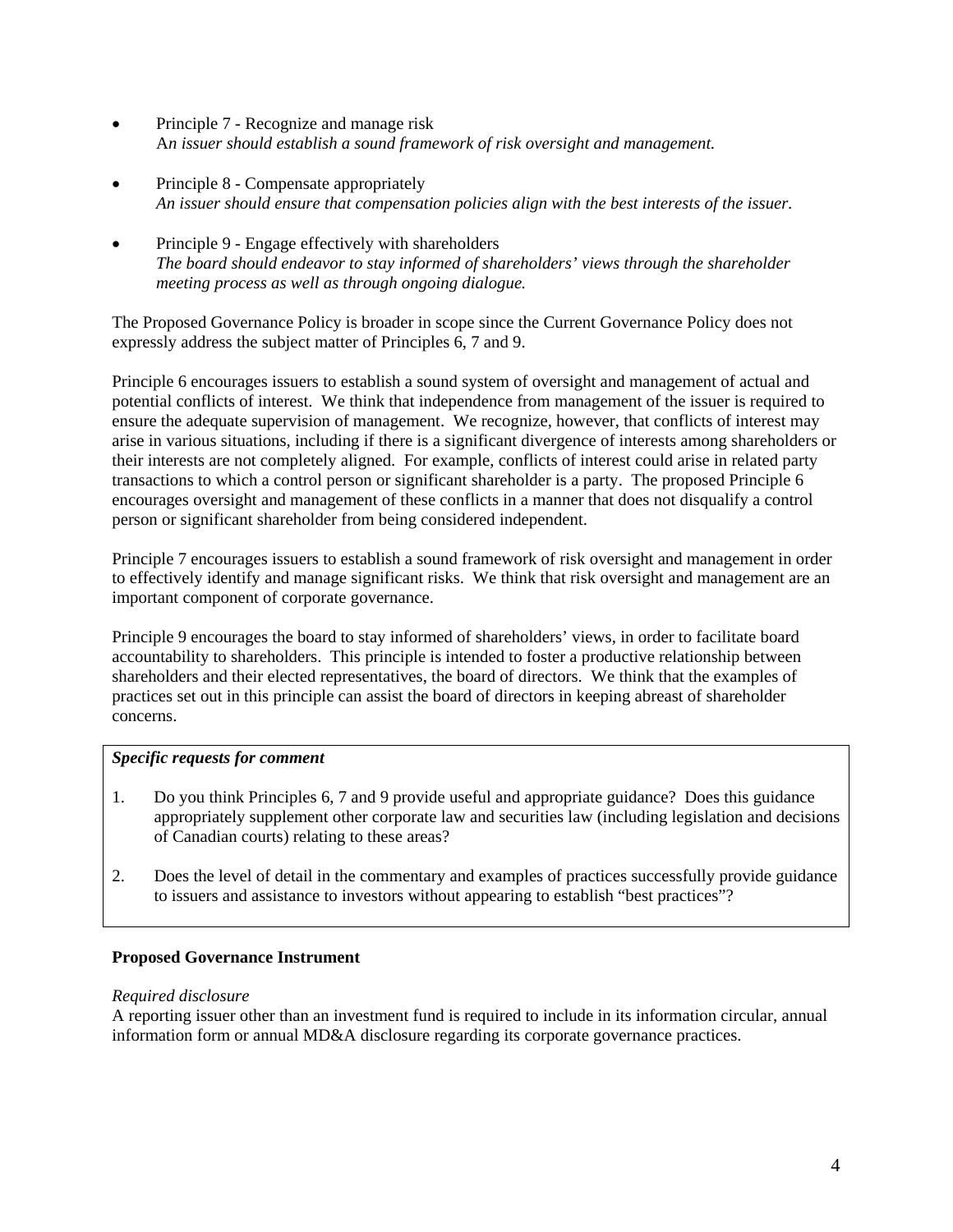- Principle 7 Recognize and manage risk A*n issuer should establish a sound framework of risk oversight and management.*
- Principle 8 Compensate appropriately *An issuer should ensure that compensation policies align with the best interests of the issuer.*
- Principle 9 Engage effectively with shareholders *The board should endeavor to stay informed of shareholders' views through the shareholder meeting process as well as through ongoing dialogue.*

The Proposed Governance Policy is broader in scope since the Current Governance Policy does not expressly address the subject matter of Principles 6, 7 and 9.

Principle 6 encourages issuers to establish a sound system of oversight and management of actual and potential conflicts of interest. We think that independence from management of the issuer is required to ensure the adequate supervision of management. We recognize, however, that conflicts of interest may arise in various situations, including if there is a significant divergence of interests among shareholders or their interests are not completely aligned. For example, conflicts of interest could arise in related party transactions to which a control person or significant shareholder is a party. The proposed Principle 6 encourages oversight and management of these conflicts in a manner that does not disqualify a control person or significant shareholder from being considered independent.

Principle 7 encourages issuers to establish a sound framework of risk oversight and management in order to effectively identify and manage significant risks. We think that risk oversight and management are an important component of corporate governance.

Principle 9 encourages the board to stay informed of shareholders' views, in order to facilitate board accountability to shareholders. This principle is intended to foster a productive relationship between shareholders and their elected representatives, the board of directors. We think that the examples of practices set out in this principle can assist the board of directors in keeping abreast of shareholder concerns.

## *Specific requests for comment*

- 1. Do you think Principles 6, 7 and 9 provide useful and appropriate guidance? Does this guidance appropriately supplement other corporate law and securities law (including legislation and decisions of Canadian courts) relating to these areas?
- 2. Does the level of detail in the commentary and examples of practices successfully provide guidance to issuers and assistance to investors without appearing to establish "best practices"?

### **Proposed Governance Instrument**

#### *Required disclosure*

A reporting issuer other than an investment fund is required to include in its information circular, annual information form or annual MD&A disclosure regarding its corporate governance practices.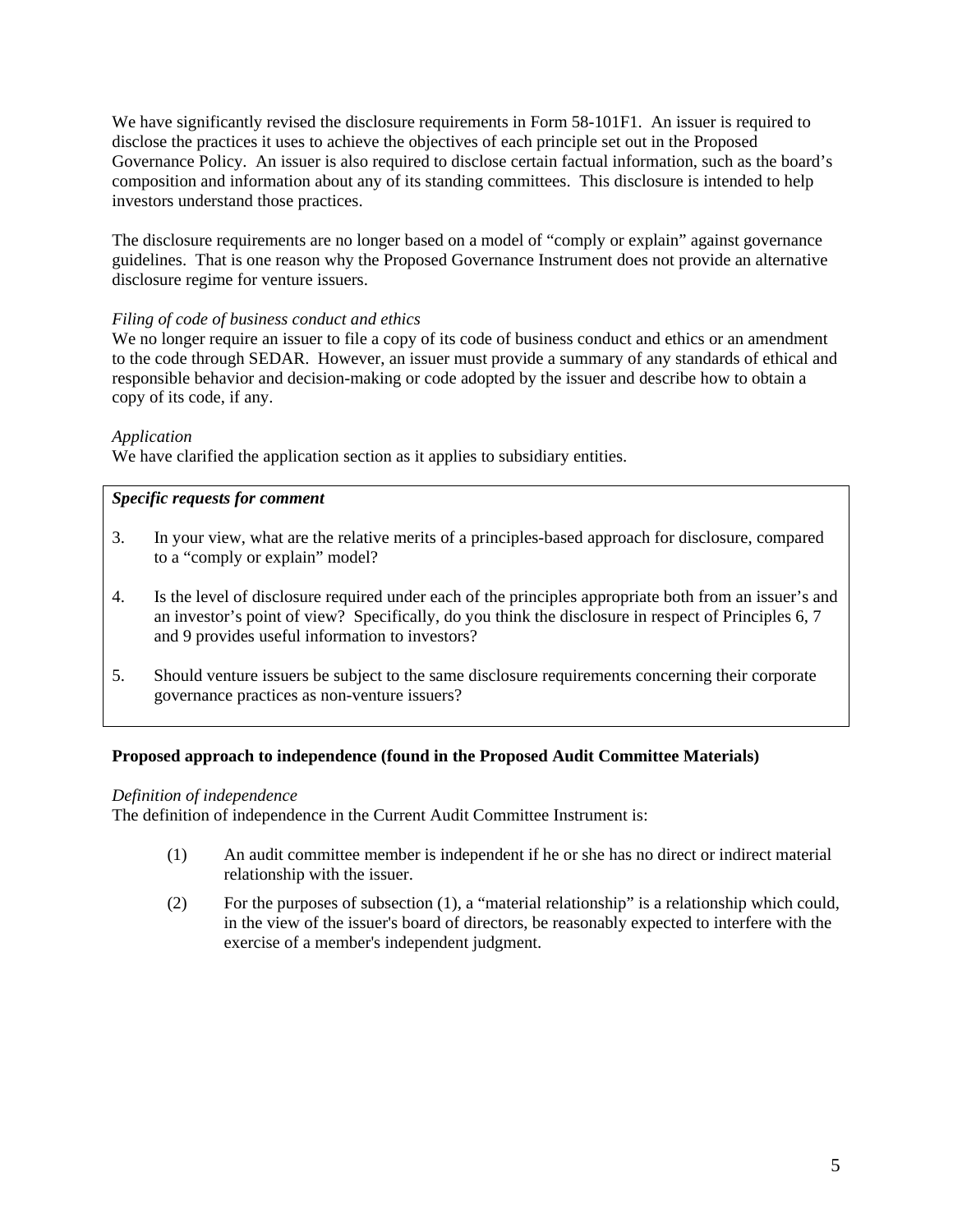We have significantly revised the disclosure requirements in Form 58-101F1. An issuer is required to disclose the practices it uses to achieve the objectives of each principle set out in the Proposed Governance Policy. An issuer is also required to disclose certain factual information, such as the board's composition and information about any of its standing committees. This disclosure is intended to help investors understand those practices.

The disclosure requirements are no longer based on a model of "comply or explain" against governance guidelines. That is one reason why the Proposed Governance Instrument does not provide an alternative disclosure regime for venture issuers.

## *Filing of code of business conduct and ethics*

We no longer require an issuer to file a copy of its code of business conduct and ethics or an amendment to the code through SEDAR. However, an issuer must provide a summary of any standards of ethical and responsible behavior and decision-making or code adopted by the issuer and describe how to obtain a copy of its code, if any.

## *Application*

We have clarified the application section as it applies to subsidiary entities.

## *Specific requests for comment*

- 3. In your view, what are the relative merits of a principles-based approach for disclosure, compared to a "comply or explain" model?
- 4. Is the level of disclosure required under each of the principles appropriate both from an issuer's and an investor's point of view? Specifically, do you think the disclosure in respect of Principles 6, 7 and 9 provides useful information to investors?
- 5. Should venture issuers be subject to the same disclosure requirements concerning their corporate governance practices as non-venture issuers?

### **Proposed approach to independence (found in the Proposed Audit Committee Materials)**

### *Definition of independence*

The definition of independence in the Current Audit Committee Instrument is:

- (1) An audit committee member is independent if he or she has no direct or indirect material relationship with the issuer.
- (2) For the purposes of subsection (1), a "material relationship" is a relationship which could, in the view of the issuer's board of directors, be reasonably expected to interfere with the exercise of a member's independent judgment.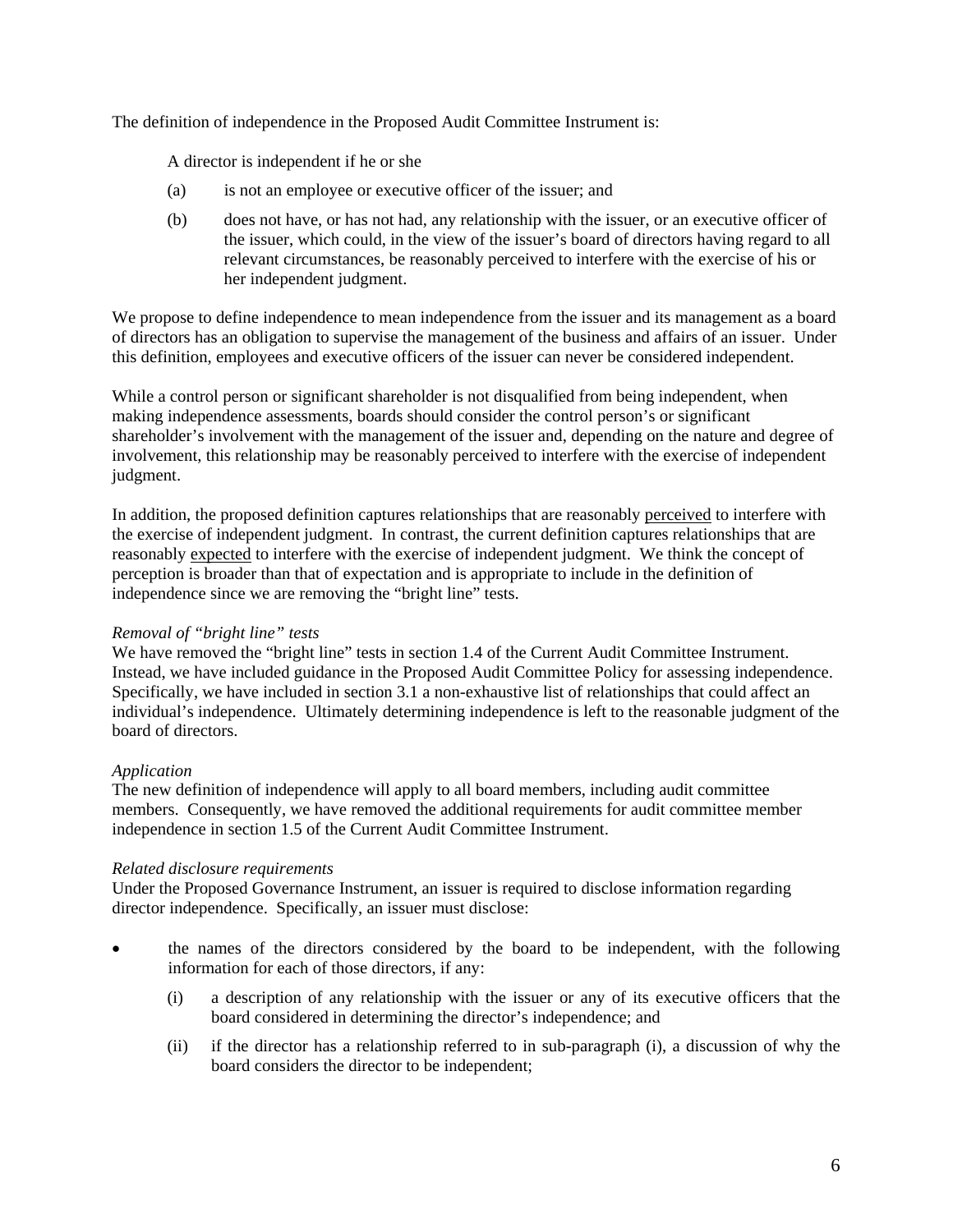The definition of independence in the Proposed Audit Committee Instrument is:

A director is independent if he or she

- (a) is not an employee or executive officer of the issuer; and
- (b) does not have, or has not had, any relationship with the issuer, or an executive officer of the issuer, which could, in the view of the issuer's board of directors having regard to all relevant circumstances, be reasonably perceived to interfere with the exercise of his or her independent judgment.

We propose to define independence to mean independence from the issuer and its management as a board of directors has an obligation to supervise the management of the business and affairs of an issuer. Under this definition, employees and executive officers of the issuer can never be considered independent.

While a control person or significant shareholder is not disqualified from being independent, when making independence assessments, boards should consider the control person's or significant shareholder's involvement with the management of the issuer and, depending on the nature and degree of involvement, this relationship may be reasonably perceived to interfere with the exercise of independent judgment.

In addition, the proposed definition captures relationships that are reasonably perceived to interfere with the exercise of independent judgment. In contrast, the current definition captures relationships that are reasonably expected to interfere with the exercise of independent judgment. We think the concept of perception is broader than that of expectation and is appropriate to include in the definition of independence since we are removing the "bright line" tests.

### *Removal of "bright line" tests*

We have removed the "bright line" tests in section 1.4 of the Current Audit Committee Instrument. Instead, we have included guidance in the Proposed Audit Committee Policy for assessing independence. Specifically, we have included in section 3.1 a non-exhaustive list of relationships that could affect an individual's independence. Ultimately determining independence is left to the reasonable judgment of the board of directors.

### *Application*

The new definition of independence will apply to all board members, including audit committee members. Consequently, we have removed the additional requirements for audit committee member independence in section 1.5 of the Current Audit Committee Instrument.

### *Related disclosure requirements*

Under the Proposed Governance Instrument, an issuer is required to disclose information regarding director independence. Specifically, an issuer must disclose:

- the names of the directors considered by the board to be independent, with the following information for each of those directors, if any:
	- (i) a description of any relationship with the issuer or any of its executive officers that the board considered in determining the director's independence; and
	- (ii) if the director has a relationship referred to in sub-paragraph (i), a discussion of why the board considers the director to be independent;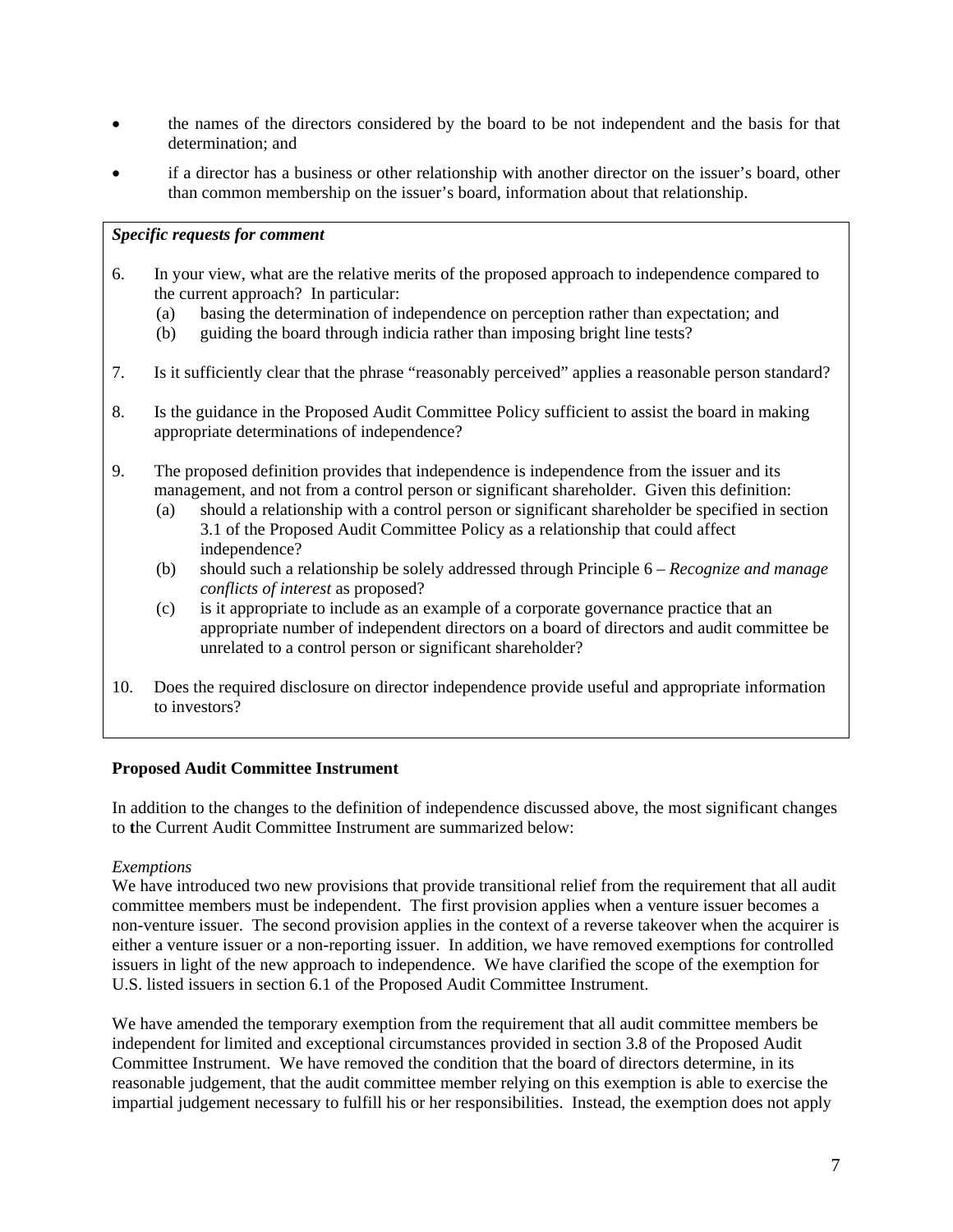- the names of the directors considered by the board to be not independent and the basis for that determination; and
- if a director has a business or other relationship with another director on the issuer's board, other than common membership on the issuer's board, information about that relationship.

### *Specific requests for comment*

- 6. In your view, what are the relative merits of the proposed approach to independence compared to the current approach? In particular:
	- (a) basing the determination of independence on perception rather than expectation; and
	- (b) guiding the board through indicia rather than imposing bright line tests?
- 7. Is it sufficiently clear that the phrase "reasonably perceived" applies a reasonable person standard?
- 8. Is the guidance in the Proposed Audit Committee Policy sufficient to assist the board in making appropriate determinations of independence?
- 9. The proposed definition provides that independence is independence from the issuer and its management, and not from a control person or significant shareholder. Given this definition:
	- (a) should a relationship with a control person or significant shareholder be specified in section 3.1 of the Proposed Audit Committee Policy as a relationship that could affect independence?
	- (b) should such a relationship be solely addressed through Principle 6 *Recognize and manage conflicts of interest* as proposed?
	- (c) is it appropriate to include as an example of a corporate governance practice that an appropriate number of independent directors on a board of directors and audit committee be unrelated to a control person or significant shareholder?
- 10. Does the required disclosure on director independence provide useful and appropriate information to investors?

### **Proposed Audit Committee Instrument**

In addition to the changes to the definition of independence discussed above, the most significant changes to **t**he Current Audit Committee Instrument are summarized below:

### *Exemptions*

We have introduced two new provisions that provide transitional relief from the requirement that all audit committee members must be independent. The first provision applies when a venture issuer becomes a non-venture issuer. The second provision applies in the context of a reverse takeover when the acquirer is either a venture issuer or a non-reporting issuer. In addition, we have removed exemptions for controlled issuers in light of the new approach to independence. We have clarified the scope of the exemption for U.S. listed issuers in section 6.1 of the Proposed Audit Committee Instrument.

We have amended the temporary exemption from the requirement that all audit committee members be independent for limited and exceptional circumstances provided in section 3.8 of the Proposed Audit Committee Instrument. We have removed the condition that the board of directors determine, in its reasonable judgement, that the audit committee member relying on this exemption is able to exercise the impartial judgement necessary to fulfill his or her responsibilities. Instead, the exemption does not apply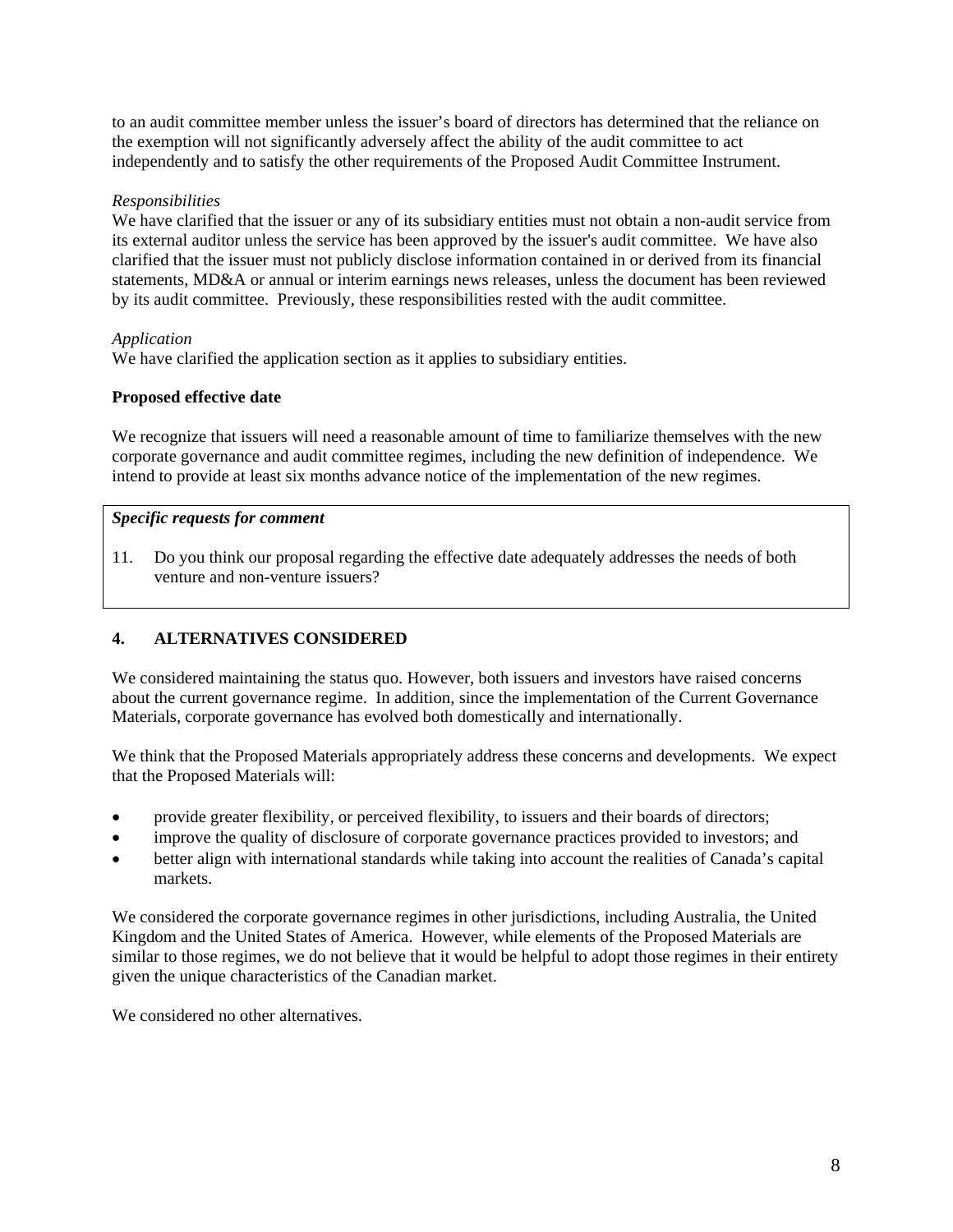to an audit committee member unless the issuer's board of directors has determined that the reliance on the exemption will not significantly adversely affect the ability of the audit committee to act independently and to satisfy the other requirements of the Proposed Audit Committee Instrument.

### *Responsibilities*

We have clarified that the issuer or any of its subsidiary entities must not obtain a non-audit service from its external auditor unless the service has been approved by the issuer's audit committee. We have also clarified that the issuer must not publicly disclose information contained in or derived from its financial statements, MD&A or annual or interim earnings news releases, unless the document has been reviewed by its audit committee. Previously, these responsibilities rested with the audit committee.

### *Application*

We have clarified the application section as it applies to subsidiary entities.

## **Proposed effective date**

We recognize that issuers will need a reasonable amount of time to familiarize themselves with the new corporate governance and audit committee regimes, including the new definition of independence. We intend to provide at least six months advance notice of the implementation of the new regimes.

## *Specific requests for comment*

11. Do you think our proposal regarding the effective date adequately addresses the needs of both venture and non-venture issuers?

# **4. ALTERNATIVES CONSIDERED**

We considered maintaining the status quo. However, both issuers and investors have raised concerns about the current governance regime. In addition, since the implementation of the Current Governance Materials, corporate governance has evolved both domestically and internationally.

We think that the Proposed Materials appropriately address these concerns and developments. We expect that the Proposed Materials will:

- provide greater flexibility, or perceived flexibility, to issuers and their boards of directors;
- improve the quality of disclosure of corporate governance practices provided to investors; and
- better align with international standards while taking into account the realities of Canada's capital markets.

We considered the corporate governance regimes in other jurisdictions, including Australia, the United Kingdom and the United States of America. However, while elements of the Proposed Materials are similar to those regimes, we do not believe that it would be helpful to adopt those regimes in their entirety given the unique characteristics of the Canadian market.

We considered no other alternatives.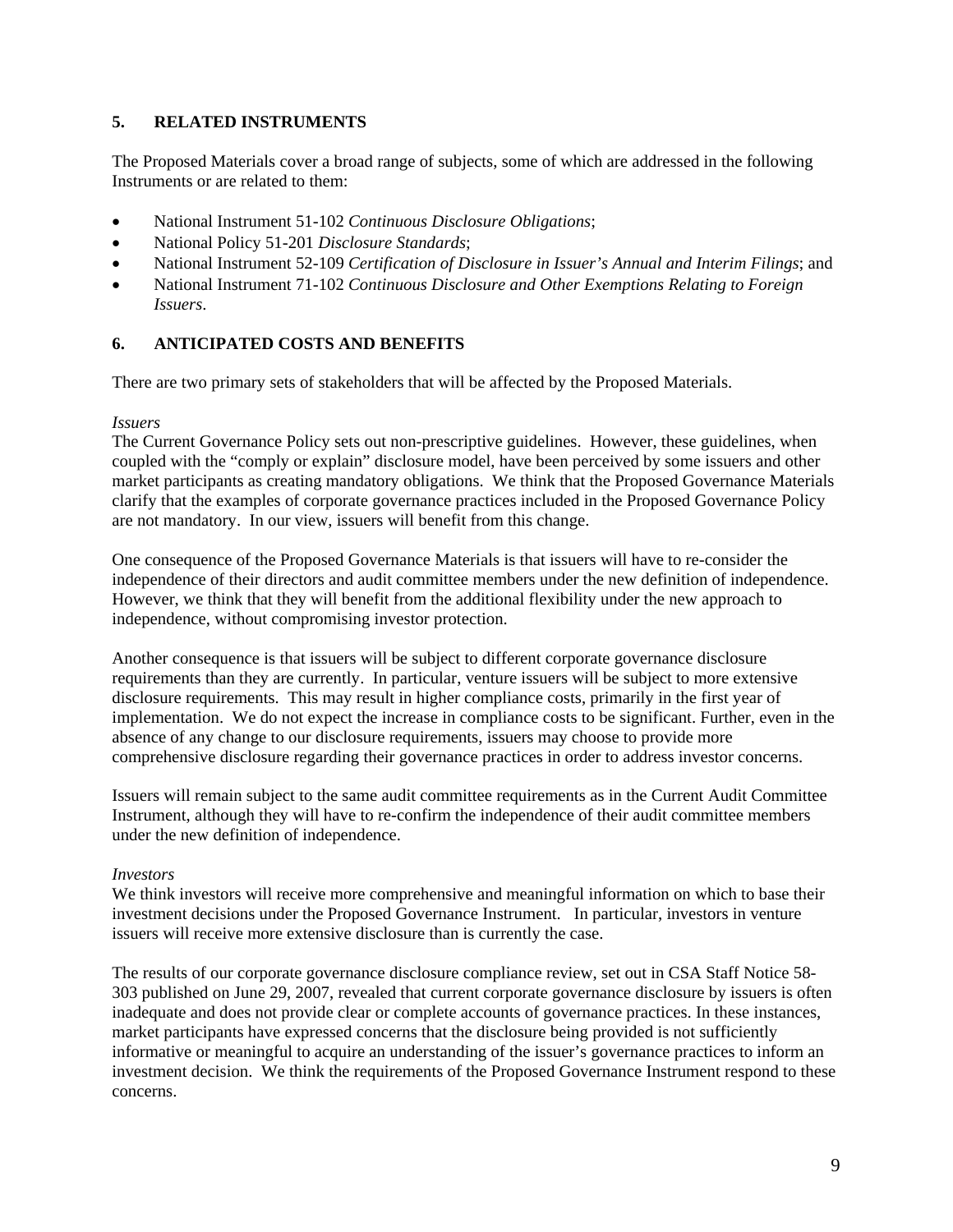## **5. RELATED INSTRUMENTS**

The Proposed Materials cover a broad range of subjects, some of which are addressed in the following Instruments or are related to them:

- National Instrument 51-102 *Continuous Disclosure Obligations*;
- National Policy 51-201 *Disclosure Standards*;
- National Instrument 52-109 *Certification of Disclosure in Issuer's Annual and Interim Filings*; and
- National Instrument 71-102 *Continuous Disclosure and Other Exemptions Relating to Foreign Issuers*.

## **6. ANTICIPATED COSTS AND BENEFITS**

There are two primary sets of stakeholders that will be affected by the Proposed Materials.

### *Issuers*

The Current Governance Policy sets out non-prescriptive guidelines. However, these guidelines, when coupled with the "comply or explain" disclosure model, have been perceived by some issuers and other market participants as creating mandatory obligations. We think that the Proposed Governance Materials clarify that the examples of corporate governance practices included in the Proposed Governance Policy are not mandatory. In our view, issuers will benefit from this change.

One consequence of the Proposed Governance Materials is that issuers will have to re-consider the independence of their directors and audit committee members under the new definition of independence. However, we think that they will benefit from the additional flexibility under the new approach to independence, without compromising investor protection.

Another consequence is that issuers will be subject to different corporate governance disclosure requirements than they are currently. In particular, venture issuers will be subject to more extensive disclosure requirements. This may result in higher compliance costs, primarily in the first year of implementation. We do not expect the increase in compliance costs to be significant. Further, even in the absence of any change to our disclosure requirements, issuers may choose to provide more comprehensive disclosure regarding their governance practices in order to address investor concerns.

Issuers will remain subject to the same audit committee requirements as in the Current Audit Committee Instrument, although they will have to re-confirm the independence of their audit committee members under the new definition of independence.

### *Investors*

We think investors will receive more comprehensive and meaningful information on which to base their investment decisions under the Proposed Governance Instrument. In particular, investors in venture issuers will receive more extensive disclosure than is currently the case.

The results of our corporate governance disclosure compliance review, set out in CSA Staff Notice 58- 303 published on June 29, 2007, revealed that current corporate governance disclosure by issuers is often inadequate and does not provide clear or complete accounts of governance practices. In these instances, market participants have expressed concerns that the disclosure being provided is not sufficiently informative or meaningful to acquire an understanding of the issuer's governance practices to inform an investment decision. We think the requirements of the Proposed Governance Instrument respond to these concerns.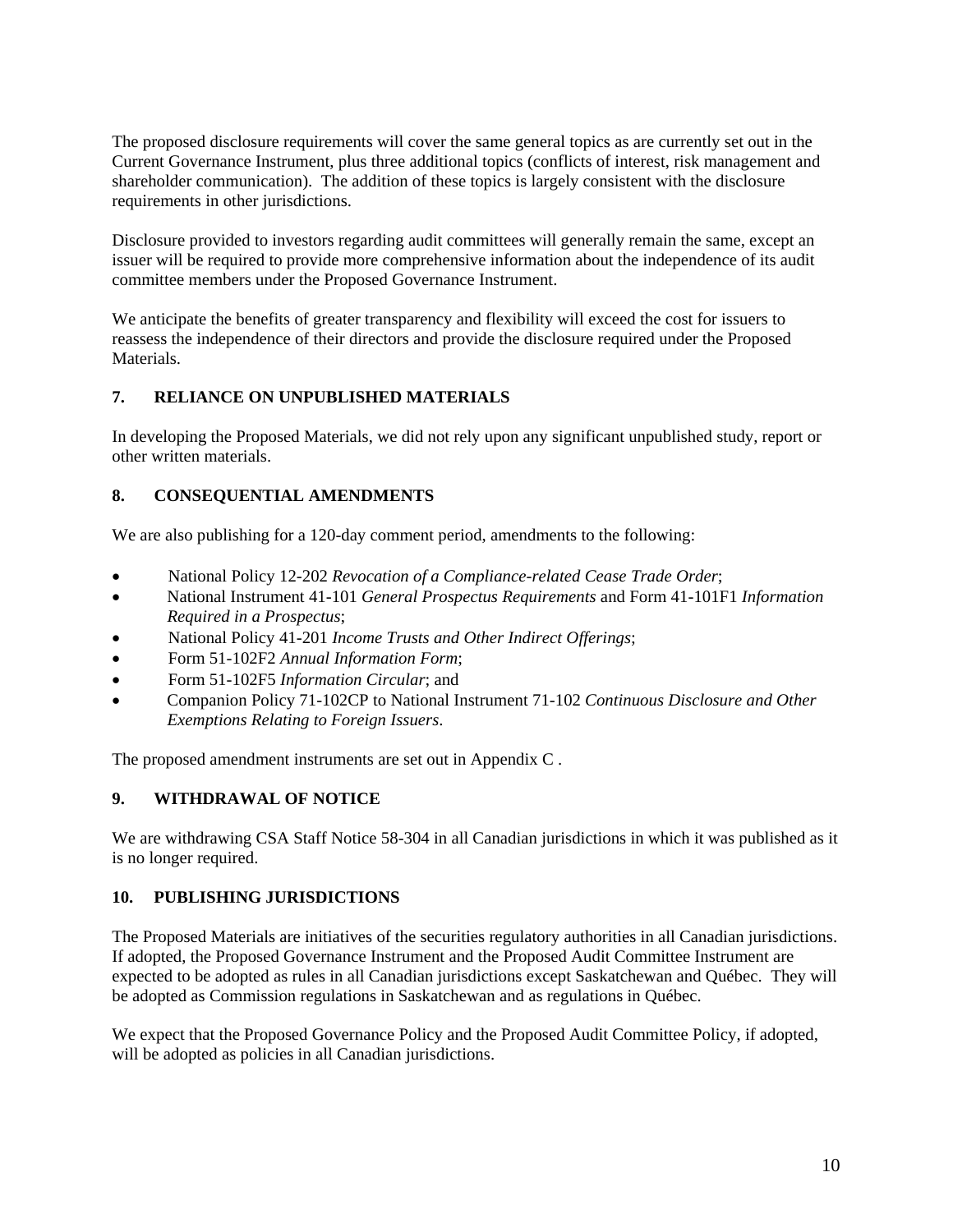The proposed disclosure requirements will cover the same general topics as are currently set out in the Current Governance Instrument, plus three additional topics (conflicts of interest, risk management and shareholder communication). The addition of these topics is largely consistent with the disclosure requirements in other jurisdictions.

Disclosure provided to investors regarding audit committees will generally remain the same, except an issuer will be required to provide more comprehensive information about the independence of its audit committee members under the Proposed Governance Instrument.

We anticipate the benefits of greater transparency and flexibility will exceed the cost for issuers to reassess the independence of their directors and provide the disclosure required under the Proposed Materials.

# **7. RELIANCE ON UNPUBLISHED MATERIALS**

In developing the Proposed Materials, we did not rely upon any significant unpublished study, report or other written materials.

# **8. CONSEQUENTIAL AMENDMENTS**

We are also publishing for a 120-day comment period, amendments to the following:

- National Policy 12-202 *Revocation of a Compliance-related Cease Trade Order*;
- National Instrument 41-101 *General Prospectus Requirements* and Form 41-101F1 *Information Required in a Prospectus*;
- National Policy 41-201 *Income Trusts and Other Indirect Offerings*;
- Form 51-102F2 *Annual Information Form*;
- Form 51-102F5 *Information Circular*; and
- Companion Policy 71-102CP to National Instrument 71-102 *Continuous Disclosure and Other Exemptions Relating to Foreign Issuers*.

The proposed amendment instruments are set out in Appendix C .

## **9. WITHDRAWAL OF NOTICE**

We are withdrawing CSA Staff Notice 58-304 in all Canadian jurisdictions in which it was published as it is no longer required.

## **10. PUBLISHING JURISDICTIONS**

The Proposed Materials are initiatives of the securities regulatory authorities in all Canadian jurisdictions. If adopted, the Proposed Governance Instrument and the Proposed Audit Committee Instrument are expected to be adopted as rules in all Canadian jurisdictions except Saskatchewan and Québec. They will be adopted as Commission regulations in Saskatchewan and as regulations in Québec.

We expect that the Proposed Governance Policy and the Proposed Audit Committee Policy, if adopted, will be adopted as policies in all Canadian jurisdictions.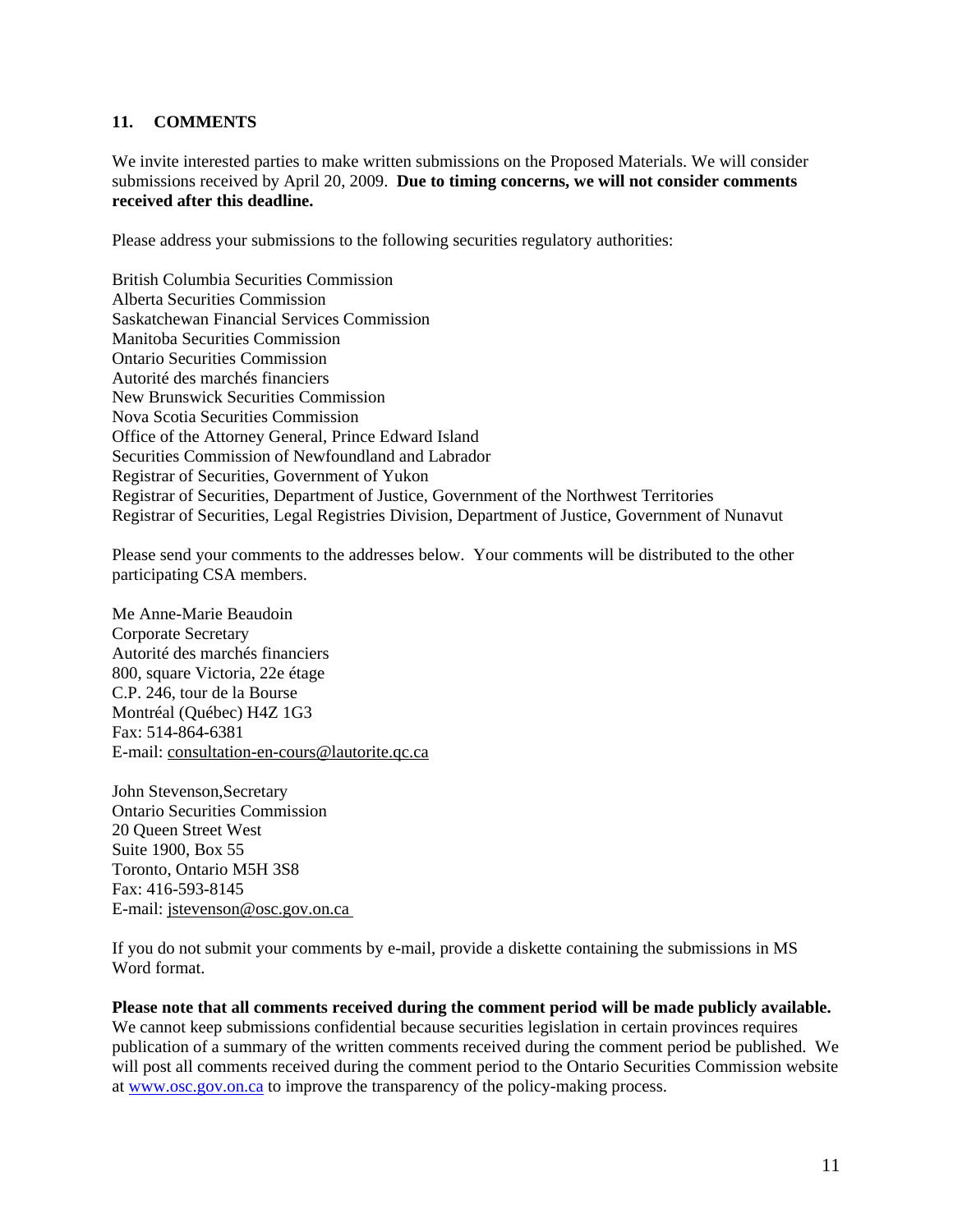### **11. COMMENTS**

We invite interested parties to make written submissions on the Proposed Materials. We will consider submissions received by April 20, 2009. **Due to timing concerns, we will not consider comments received after this deadline.**

Please address your submissions to the following securities regulatory authorities:

British Columbia Securities Commission Alberta Securities Commission Saskatchewan Financial Services Commission Manitoba Securities Commission Ontario Securities Commission Autorité des marchés financiers New Brunswick Securities Commission Nova Scotia Securities Commission Office of the Attorney General, Prince Edward Island Securities Commission of Newfoundland and Labrador Registrar of Securities, Government of Yukon Registrar of Securities, Department of Justice, Government of the Northwest Territories Registrar of Securities, Legal Registries Division, Department of Justice, Government of Nunavut

Please send your comments to the addresses below. Your comments will be distributed to the other participating CSA members.

Me Anne-Marie Beaudoin Corporate Secretary Autorité des marchés financiers 800, square Victoria, 22e étage C.P. 246, tour de la Bourse Montréal (Québec) H4Z 1G3 Fax: 514-864-6381 E-mail: consultation-en-cours@lautorite.qc.ca

John Stevenson,Secretary Ontario Securities Commission 20 Queen Street West Suite 1900, Box 55 Toronto, Ontario M5H 3S8 Fax: 416-593-8145 E-mail: jstevenson@osc.gov.on.ca

If you do not submit your comments by e-mail, provide a diskette containing the submissions in MS Word format.

### **Please note that all comments received during the comment period will be made publicly available.**

We cannot keep submissions confidential because securities legislation in certain provinces requires publication of a summary of the written comments received during the comment period be published. We will post all comments received during the comment period to the Ontario Securities Commission website at www.osc.gov.on.ca to improve the transparency of the policy-making process.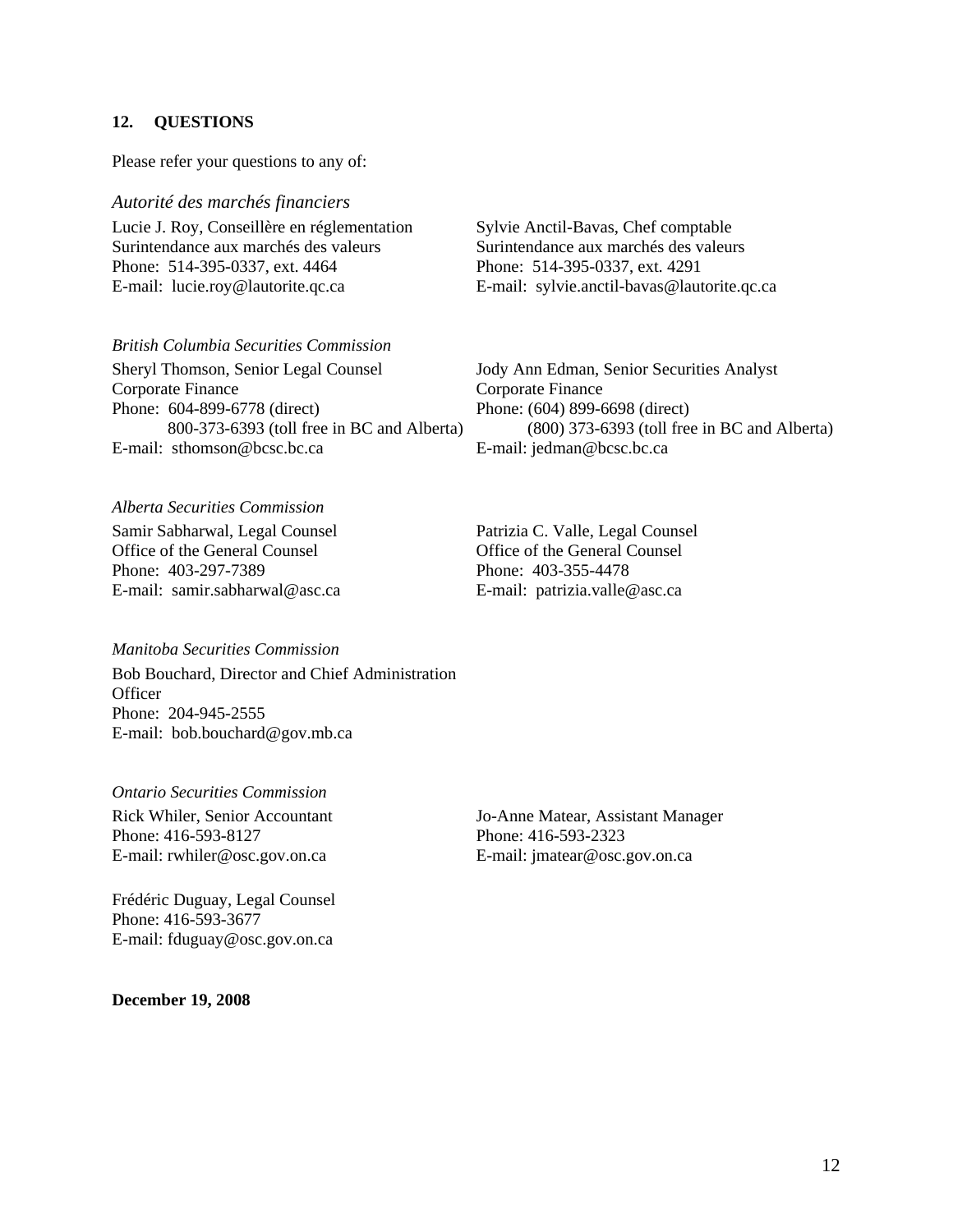#### **12. QUESTIONS**

Please refer your questions to any of:

*Autorité des marchés financiers*  Lucie J. Roy, Conseillère en réglementation Surintendance aux marchés des valeurs Phone: 514-395-0337, ext. 4464

E-mail: lucie.roy@lautorite.qc.ca

*British Columbia Securities Commission*  Sheryl Thomson, Senior Legal Counsel

Corporate Finance Phone: 604-899-6778 (direct) 800-373-6393 (toll free in BC and Alberta) E-mail: sthomson@bcsc.bc.ca

Sylvie Anctil-Bavas, Chef comptable Surintendance aux marchés des valeurs Phone: 514-395-0337, ext. 4291 E-mail: sylvie.anctil-bavas@lautorite.qc.ca

Jody Ann Edman, Senior Securities Analyst Corporate Finance Phone: (604) 899-6698 (direct) (800) 373-6393 (toll free in BC and Alberta) E-mail: jedman@bcsc.bc.ca

*Alberta Securities Commission* 

Samir Sabharwal, Legal Counsel Office of the General Counsel Phone: 403-297-7389 E-mail: samir.sabharwal@asc.ca

*Manitoba Securities Commission* 

Bob Bouchard, Director and Chief Administration **Officer** Phone: 204-945-2555 E-mail: bob.bouchard@gov.mb.ca

*Ontario Securities Commission*  Rick Whiler, Senior Accountant Phone: 416-593-8127 E-mail: rwhiler@osc.gov.on.ca

Frédéric Duguay, Legal Counsel Phone: 416-593-3677 E-mail: fduguay@osc.gov.on.ca

**December 19, 2008** 

Patrizia C. Valle, Legal Counsel Office of the General Counsel Phone: 403-355-4478 E-mail: patrizia.valle@asc.ca

Jo-Anne Matear, Assistant Manager Phone: 416-593-2323 E-mail: jmatear@osc.gov.on.ca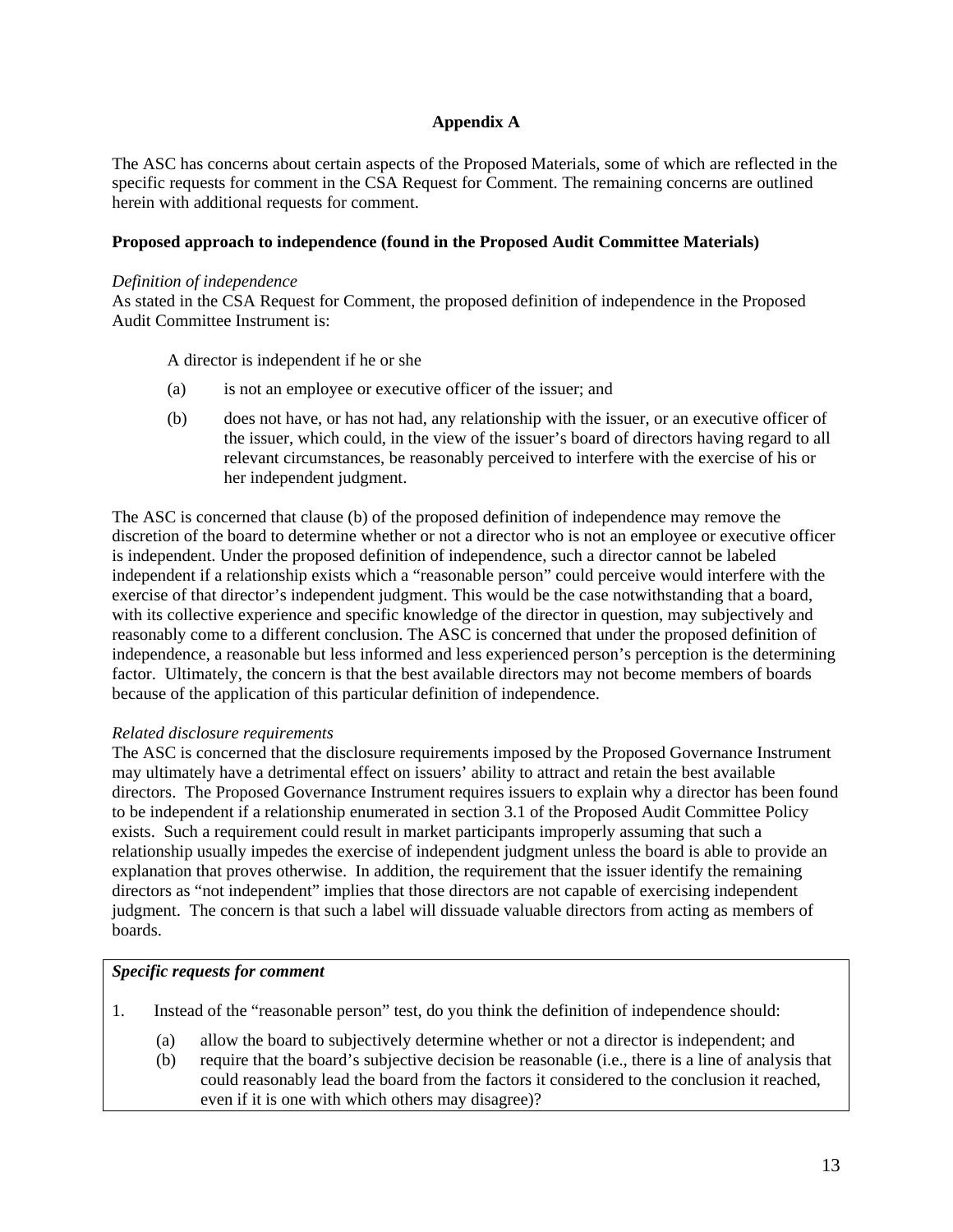## **Appendix A**

The ASC has concerns about certain aspects of the Proposed Materials, some of which are reflected in the specific requests for comment in the CSA Request for Comment. The remaining concerns are outlined herein with additional requests for comment.

### **Proposed approach to independence (found in the Proposed Audit Committee Materials)**

#### *Definition of independence*

As stated in the CSA Request for Comment, the proposed definition of independence in the Proposed Audit Committee Instrument is:

A director is independent if he or she

- (a) is not an employee or executive officer of the issuer; and
- (b) does not have, or has not had, any relationship with the issuer, or an executive officer of the issuer, which could, in the view of the issuer's board of directors having regard to all relevant circumstances, be reasonably perceived to interfere with the exercise of his or her independent judgment.

The ASC is concerned that clause (b) of the proposed definition of independence may remove the discretion of the board to determine whether or not a director who is not an employee or executive officer is independent. Under the proposed definition of independence, such a director cannot be labeled independent if a relationship exists which a "reasonable person" could perceive would interfere with the exercise of that director's independent judgment. This would be the case notwithstanding that a board, with its collective experience and specific knowledge of the director in question, may subjectively and reasonably come to a different conclusion. The ASC is concerned that under the proposed definition of independence, a reasonable but less informed and less experienced person's perception is the determining factor. Ultimately, the concern is that the best available directors may not become members of boards because of the application of this particular definition of independence.

### *Related disclosure requirements*

The ASC is concerned that the disclosure requirements imposed by the Proposed Governance Instrument may ultimately have a detrimental effect on issuers' ability to attract and retain the best available directors. The Proposed Governance Instrument requires issuers to explain why a director has been found to be independent if a relationship enumerated in section 3.1 of the Proposed Audit Committee Policy exists. Such a requirement could result in market participants improperly assuming that such a relationship usually impedes the exercise of independent judgment unless the board is able to provide an explanation that proves otherwise. In addition, the requirement that the issuer identify the remaining directors as "not independent" implies that those directors are not capable of exercising independent judgment. The concern is that such a label will dissuade valuable directors from acting as members of boards.

### *Specific requests for comment*

- 1. Instead of the "reasonable person" test, do you think the definition of independence should:
	- (a) allow the board to subjectively determine whether or not a director is independent; and
	- (b) require that the board's subjective decision be reasonable (i.e., there is a line of analysis that could reasonably lead the board from the factors it considered to the conclusion it reached, even if it is one with which others may disagree)?